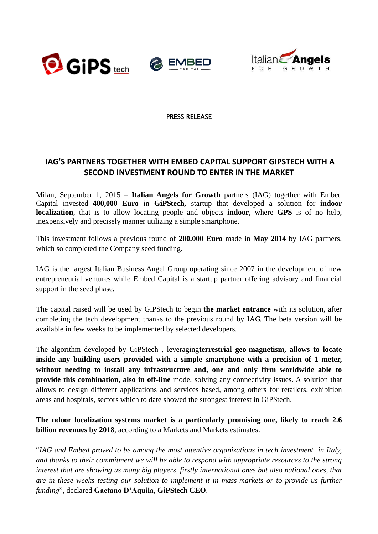





## PRESS RELEASE

## **IAG'S PARTNERS TOGETHER WITH EMBED CAPITAL SUPPORT GIPSTECH WITH A SECOND INVESTMENT ROUND TO ENTER IN THE MARKET**

Milan, September 1, 2015 – **[Italian Angels for Growth](http://www.italianangels.net/)** partners (IAG) together with Embed Capital invested **400,000 Euro** in **GiPStech,** startup that developed a solution for **indoor localization**, that is to allow locating people and objects **indoor**, where **GPS** is of no help, inexpensively and precisely manner utilizing a simple smartphone.

This investment follows a previous round of **200.000 Euro** made in **May 2014** by IAG partners, which so completed the Company seed funding.

IAG is the largest Italian Business Angel Group operating since 2007 in the development of new entrepreneurial ventures while Embed Capital is a startup partner offering advisory and financial support in the seed phase.

The capital raised will be used by GiPStech to begin **the market entrance** with its solution, after completing the tech development thanks to the previous round by IAG. The beta version will be available in few weeks to be implemented by selected developers.

The algorithm developed by GiPStech , leveraging**terrestrial geo-magnetism, allows to locate inside any building users provided with a simple smartphone with a precision of 1 meter, without needing to install any infrastructure and, one and only firm worldwide able to provide this combination, also in off-line** mode, solving any connectivity issues. A solution that allows to design different applications and services based, among others for retailers, exhibition areas and hospitals, sectors which to date showed the strongest interest in GiPStech.

**The ndoor localization systems market is a particularly promising one, likely to reach 2.6 billion revenues by 2018**, according to a Markets and Markets estimates.

"*IAG and Embed proved to be among the most attentive organizations in tech investment in Italy, and thanks to their commitment we will be able to respond with appropriate resources to the strong interest that are showing us many big players, firstly international ones but also national ones, that are in these weeks testing our solution to implement it in mass-markets or to provide us further funding*", declared **Gaetano D'Aquila**, **GiPStech CEO**.